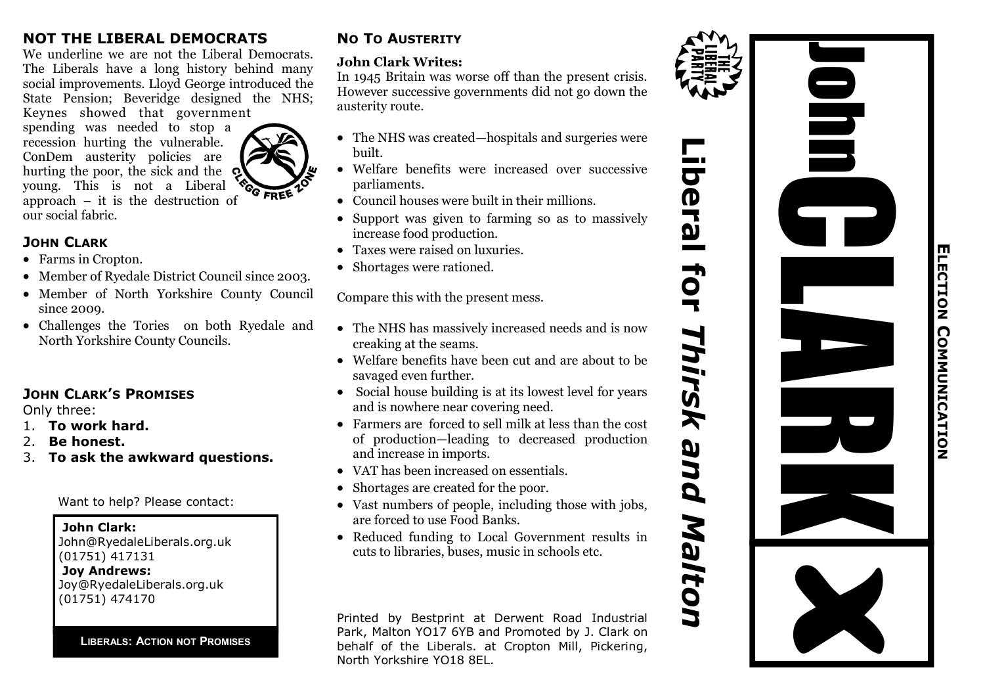#### **NOT THE LIBERAL DEMOCRATS**

We underline we are not the Liberal Democrats. The Liberals have a long history behind many social improvements. Lloyd George introduced the State Pension; Beveridge designed the NHS; Keynes showed that government

spending was needed to stop a recession hurting the vulnerable. ConDem austerity policies are hurting the poor, the sick and the Q young. This is not a Liberal young. This is not a Liberal  $\sqrt{GFREE}$ <br>approach – it is the destruction of our social fabric.

#### **JOHN CLARK**

- Farms in Cropton.
- Member of Ryedale District Council since 2003.
- Member of North Yorkshire County Council since 2009.
- Challenges the Tories on both Ryedale and North Yorkshire County Councils.

### **JOHN CLARK'S PROMISES**

Only three:

- 1. **To work hard.**
- 2. **Be honest.**
- 3. **To ask the awkward questions.**

Want to help? Please contact:

**John Clark:** John@RyedaleLiberals.org.uk (01751) 417131 **Joy Andrews:** Joy@RyedaleLiberals.org.uk (01751) 474170

**LIBERALS: ACTION NOT PROMISES**

### **NO TO AUSTERITY**

#### **John Clark Writes:**

In 1945 Britain was worse off than the present crisis. However successive governments did not go down the austerity route.

- The NHS was created—hospitals and surgeries were built.
- Welfare benefits were increased over successive parliaments.
- Council houses were built in their millions.
- Support was given to farming so as to massively increase food production.
- Taxes were raised on luxuries.
- Shortages were rationed.

Compare this with the present mess.

- The NHS has massively increased needs and is now creaking at the seams.
- Welfare benefits have been cut and are about to be savaged even further.
- Social house building is at its lowest level for years and is nowhere near covering need.
- Farmers are forced to sell milk at less than the cost of production—leading to decreased production and increase in imports.
- VAT has been increased on essentials.
- Shortages are created for the poor.
- Vast numbers of people, including those with jobs, are forced to use Food Banks.
- Reduced funding to Local Government results in cuts to libraries, buses, music in schools etc.

Printed by Bestprint at Derwent Road Industrial Park, Malton YO17 6YB and Promoted by J. Clark on behalf of the Liberals. at Cropton Mill, Pickering, North Yorkshire YO18 8EL.